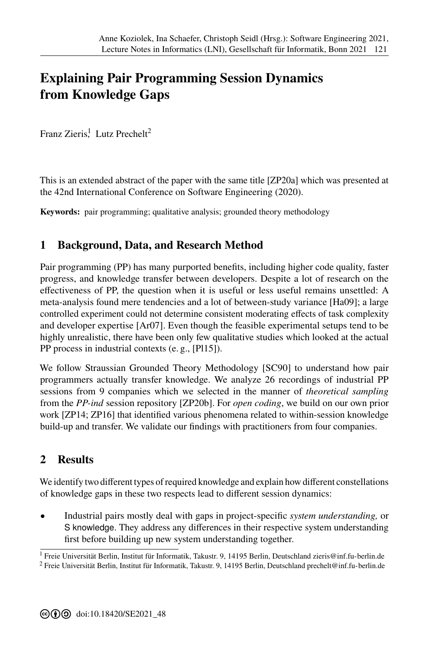## **[E](#page--1-0)xplaining Pair Programming Session Dynamics from Knowledge Gaps**

Franz Zieris<sup>1</sup>, Lutz Prechelt<sup>2</sup>

This is an extended abstract of the paper with the same title [ZP20a] which was presented at the 42nd International Conference on Software Engineering (2020).

**Keywords:** pair programming; qualitative analysis; grounded theory methodology

## **1 Background, Data, and Research Method**

Pair programming (PP) has many purported benefits, including higher code quality, faster progress, and knowledge transfer between developers. Despite a lot of research on the effectiveness of PP, the question when it is useful or less useful remains unsettled: A meta-analysis found mere tendencies and a lot of between-study variance [Ha09]; a large controlled experiment could not determine consistent moderating effects of task complexity and developer expertise [Ar07]. Even though the feasible experimental setups tend to be highly unrealistic, there have been only few qualitative studies which looked at the actual PP process in industrial contexts (e. g., [Pl15]).

We follow Straussian Grounded Theory Methodology [SC90] to understand how pair programmers actually transfer knowledge. We analyze 26 recordings of industrial PP sessions from 9 companies which we selected in the manner of *theoretical sampling* from the *PP-ind* session repository [ZP20b]. For *open coding*, we build on our own prior work [ZP14; ZP16] that identified various phenomena related to within-session knowledge build-up and transfer. We validate our findings with practitioners from four companies.

## **2 Results**

We identify two different types of required knowledge and explain how different constellations of knowledge gaps in these two respects lead to different session dynamics:

• Industrial pairs mostly deal with gaps in project-specific *system understanding,* or S knowledge. They address any differences in their respective system understanding first before building up new system understanding together.

<sup>&</sup>lt;sup>1</sup> Freie Universität Berlin, Institut für Informatik, Takustr. 9, 14195 Berlin, Deutschland [zieris@inf.fu-berlin.de](mailto:zieris@inf.fu-berlin.de) <sup>2</sup> Freie Universitčt Berlin, Institut für Informatik, Takustr. 9, 14195 Berlin, Deutschland [prechelt@inf.fu-berlin.de](mailto:prechelt@inf.fu-berlin.de)